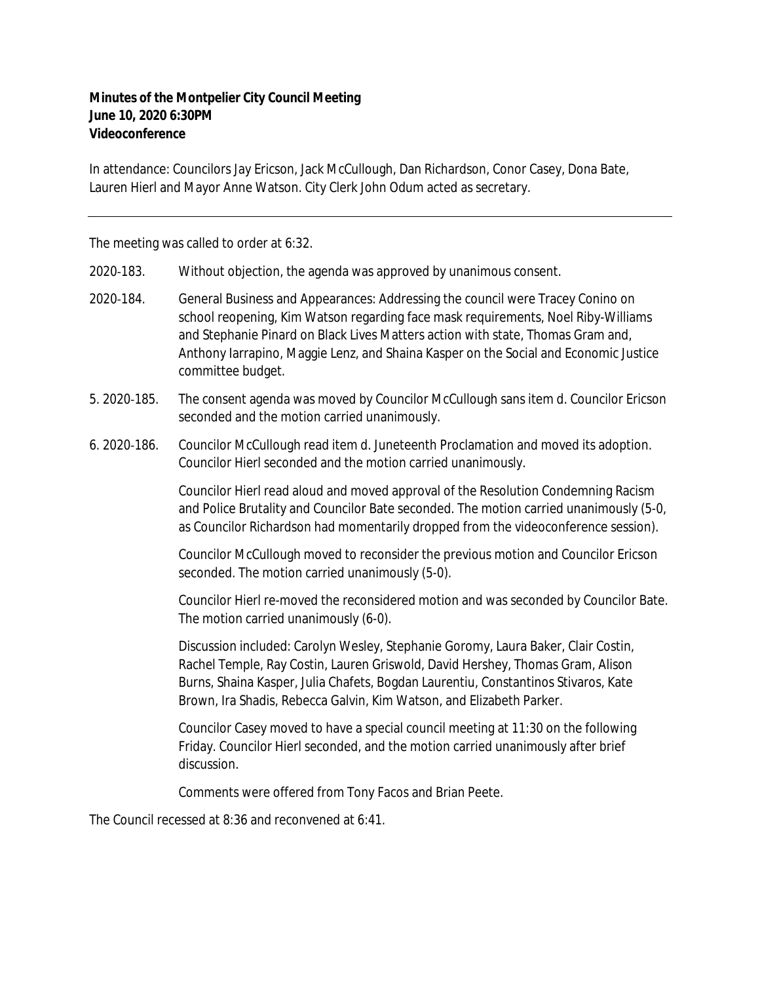## **Minutes of the Montpelier City Council Meeting June 10, 2020 6:30PM Videoconference**

In attendance: Councilors Jay Ericson, Jack McCullough, Dan Richardson, Conor Casey, Dona Bate, Lauren Hierl and Mayor Anne Watson. City Clerk John Odum acted as secretary.

The meeting was called to order at 6:32.

2020‐183. Without objection, the agenda was approved by unanimous consent.

- 2020‐184. General Business and Appearances: Addressing the council were Tracey Conino on school reopening, Kim Watson regarding face mask requirements, Noel Riby-Williams and Stephanie Pinard on Black Lives Matters action with state, Thomas Gram and, Anthony Iarrapino, Maggie Lenz, and Shaina Kasper on the Social and Economic Justice committee budget.
- 5. 2020‐185. The consent agenda was moved by Councilor McCullough sans item d. Councilor Ericson seconded and the motion carried unanimously.
- 6. 2020‐186. Councilor McCullough read item d. Juneteenth Proclamation and moved its adoption. Councilor Hierl seconded and the motion carried unanimously.

Councilor Hierl read aloud and moved approval of the Resolution Condemning Racism and Police Brutality and Councilor Bate seconded. The motion carried unanimously (5-0, as Councilor Richardson had momentarily dropped from the videoconference session).

Councilor McCullough moved to reconsider the previous motion and Councilor Ericson seconded. The motion carried unanimously (5-0).

Councilor Hierl re-moved the reconsidered motion and was seconded by Councilor Bate. The motion carried unanimously (6-0).

Discussion included: Carolyn Wesley, Stephanie Goromy, Laura Baker, Clair Costin, Rachel Temple, Ray Costin, Lauren Griswold, David Hershey, Thomas Gram, Alison Burns, Shaina Kasper, Julia Chafets, Bogdan Laurentiu, Constantinos Stivaros, Kate Brown, Ira Shadis, Rebecca Galvin, Kim Watson, and Elizabeth Parker.

Councilor Casey moved to have a special council meeting at 11:30 on the following Friday. Councilor Hierl seconded, and the motion carried unanimously after brief discussion.

Comments were offered from Tony Facos and Brian Peete.

The Council recessed at 8:36 and reconvened at 6:41.